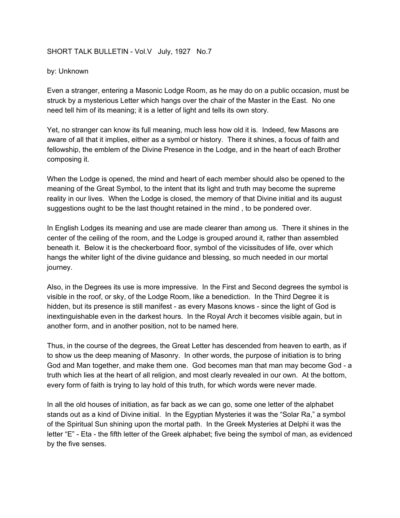## SHORT TALK BULLETIN - Vol.V July, 1927 No.7

## by: Unknown

Even a stranger, entering a Masonic Lodge Room, as he may do on a public occasion, must be struck by a mysterious Letter which hangs over the chair of the Master in the East. No one need tell him of its meaning; it is a letter of light and tells its own story.

Yet, no stranger can know its full meaning, much less how old it is. Indeed, few Masons are aware of all that it implies, either as a symbol or history. There it shines, a focus of faith and fellowship, the emblem of the Divine Presence in the Lodge, and in the heart of each Brother composing it.

When the Lodge is opened, the mind and heart of each member should also be opened to the meaning of the Great Symbol, to the intent that its light and truth may become the supreme reality in our lives. When the Lodge is closed, the memory of that Divine initial and its august suggestions ought to be the last thought retained in the mind , to be pondered over.

In English Lodges its meaning and use are made clearer than among us. There it shines in the center of the ceiling of the room, and the Lodge is grouped around it, rather than assembled beneath it. Below it is the checkerboard floor, symbol of the vicissitudes of life, over which hangs the whiter light of the divine guidance and blessing, so much needed in our mortal journey.

Also, in the Degrees its use is more impressive. In the First and Second degrees the symbol is visible in the roof, or sky, of the Lodge Room, like a benediction. In the Third Degree it is hidden, but its presence is still manifest - as every Masons knows - since the light of God is inextinguishable even in the darkest hours. In the Royal Arch it becomes visible again, but in another form, and in another position, not to be named here.

Thus, in the course of the degrees, the Great Letter has descended from heaven to earth, as if to show us the deep meaning of Masonry. In other words, the purpose of initiation is to bring God and Man together, and make them one. God becomes man that man may become God - a truth which lies at the heart of all religion, and most clearly revealed in our own. At the bottom, every form of faith is trying to lay hold of this truth, for which words were never made.

In all the old houses of initiation, as far back as we can go, some one letter of the alphabet stands out as a kind of Divine initial. In the Egyptian Mysteries it was the "Solar Ra," a symbol of the Spiritual Sun shining upon the mortal path. In the Greek Mysteries at Delphi it was the letter "E" - Eta - the fifth letter of the Greek alphabet; five being the symbol of man, as evidenced by the five senses.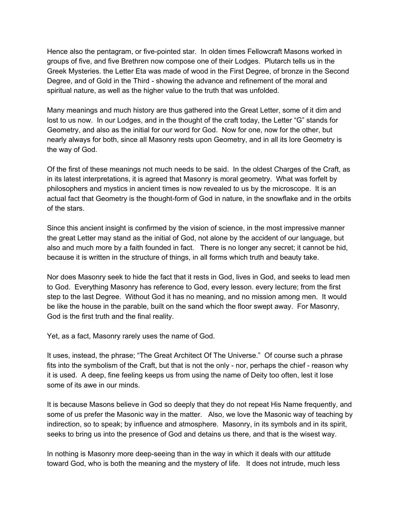Hence also the pentagram, or five-pointed star. In olden times Fellowcraft Masons worked in groups of five, and five Brethren now compose one of their Lodges. Plutarch tells us in the Greek Mysteries. the Letter Eta was made of wood in the First Degree, of bronze in the Second Degree, and of Gold in the Third - showing the advance and refinement of the moral and spiritual nature, as well as the higher value to the truth that was unfolded.

Many meanings and much history are thus gathered into the Great Letter, some of it dim and lost to us now. In our Lodges, and in the thought of the craft today, the Letter "G" stands for Geometry, and also as the initial for our word for God. Now for one, now for the other, but nearly always for both, since all Masonry rests upon Geometry, and in all its lore Geometry is the way of God.

Of the first of these meanings not much needs to be said. In the oldest Charges of the Craft, as in its latest interpretations, it is agreed that Masonry is moral geometry. What was forfelt by philosophers and mystics in ancient times is now revealed to us by the microscope. It is an actual fact that Geometry is the thought-form of God in nature, in the snowflake and in the orbits of the stars.

Since this ancient insight is confirmed by the vision of science, in the most impressive manner the great Letter may stand as the initial of God, not alone by the accident of our language, but also and much more by a faith founded in fact. There is no longer any secret; it cannot be hid, because it is written in the structure of things, in all forms which truth and beauty take.

Nor does Masonry seek to hide the fact that it rests in God, lives in God, and seeks to lead men to God. Everything Masonry has reference to God, every lesson. every lecture; from the first step to the last Degree. Without God it has no meaning, and no mission among men. It would be like the house in the parable, built on the sand which the floor swept away. For Masonry, God is the first truth and the final reality.

Yet, as a fact, Masonry rarely uses the name of God.

It uses, instead, the phrase; "The Great Architect Of The Universe." Of course such a phrase fits into the symbolism of the Craft, but that is not the only - nor, perhaps the chief - reason why it is used. A deep, fine feeling keeps us from using the name of Deity too often, lest it lose some of its awe in our minds.

It is because Masons believe in God so deeply that they do not repeat His Name frequently, and some of us prefer the Masonic way in the matter. Also, we love the Masonic way of teaching by indirection, so to speak; by influence and atmosphere. Masonry, in its symbols and in its spirit, seeks to bring us into the presence of God and detains us there, and that is the wisest way.

In nothing is Masonry more deep-seeing than in the way in which it deals with our attitude toward God, who is both the meaning and the mystery of life. It does not intrude, much less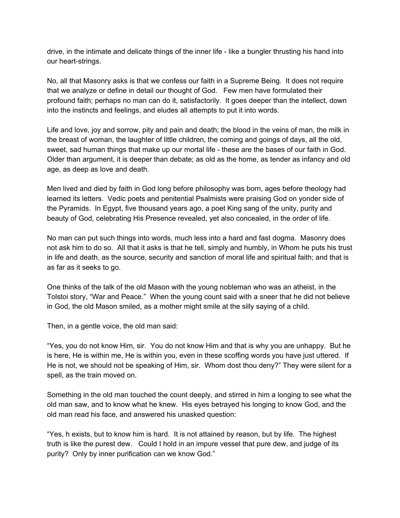drive, in the intimate and delicate things of the inner life - like a bungler thrusting his hand into our heart-strings.

No, all that Masonry asks is that we confess our faith in a Supreme Being. It does not require that we analyze or define in detail our thought of God. Few men have formulated their profound faith; perhaps no man can do it, satisfactorily. It goes deeper than the intellect, down into the instincts and feelings, and eludes all attempts to put it into words.

Life and love, joy and sorrow, pity and pain and death; the blood in the veins of man, the milk in the breast of woman, the laughter of little children, the coming and goings of days, all the old, sweet, sad human things that make up our mortal life - these are the bases of our faith in God. Older than argument, it is deeper than debate; as old as the home, as tender as infancy and old age, as deep as love and death.

Men lived and died by faith in God long before philosophy was born, ages before theology had learned its letters. Vedic poets and penitential Psalmists were praising God on yonder side of the Pyramids. In Egypt, five thousand years ago, a poet King sang of the unity, purity and beauty of God, celebrating His Presence revealed, yet also concealed, in the order of life.

No man can put such things into words, much less into a hard and fast dogma. Masonry does not ask him to do so. All that it asks is that he tell, simply and humbly, in Whom he puts his trust in life and death, as the source, security and sanction of moral life and spiritual faith; and that is as far as it seeks to go.

One thinks of the talk of the old Mason with the young nobleman who was an atheist, in the Tolstoi story, "War and Peace." When the young count said with a sneer that he did not believe in God, the old Mason smiled, as a mother might smile at the silly saying of a child.

Then, in a gentle voice, the old man said:

"Yes, you do not know Him, sir. You do not know Him and that is why you are unhappy. But he is here, He is within me, He is within you, even in these scoffing words you have just uttered. If He is not, we should not be speaking of Him, sir. Whom dost thou deny?" They were silent for a spell, as the train moved on.

Something in the old man touched the count deeply, and stirred in him a longing to see what the old man saw, and to know what he knew. His eyes betrayed his longing to know God, and the old man read his face, and answered his unasked question:

"Yes, h exists, but to know him is hard. It is not attained by reason, but by life. The highest truth is like the purest dew. Could I hold in an impure vessel that pure dew, and judge of its purity? Only by inner purification can we know God."